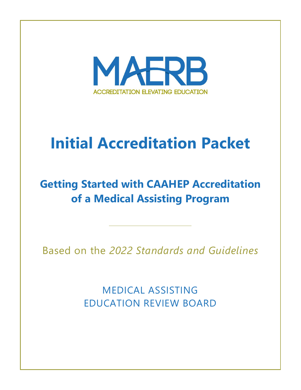

# **Initial Accreditation Packet**

# **Getting Started with CAAHEP Accreditation of a Medical Assisting Program**

Based on the *2022 Standards and Guidelines*

MEDICAL ASSISTING EDUCATION REVIEW BOARD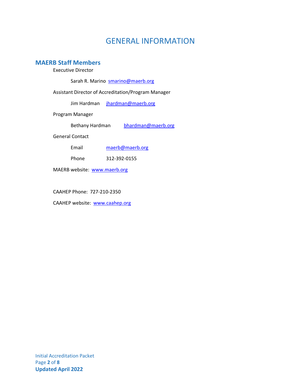### GENERAL INFORMATION

#### **MAERB Staff Members**

Executive Director

Sarah R. Marino **smarino@maerb.org** 

Assistant Director of Accreditation/Program Manager

Jim Hardman [jhardman@maerb.org](mailto:jhardman@maerb.org)

Program Manager

Bethany Hardman [bhardman@maerb.org](mailto:bhardman@maerb.org)

General Contact

| maerb@maerb.org |
|-----------------|
|                 |

Phone 312-392-0155

MAERB website: [www.maerb.org](http://www.maerb.org/)

CAAHEP Phone: 727-210-2350

CAAHEP website: [www.caahep.org](http://www.caahep.org/)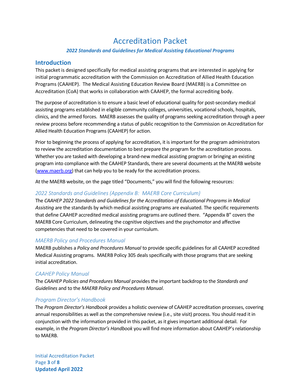## Accreditation Packet

#### *2022 Standards and Guidelines for Medical Assisting Educational Programs*

#### **Introduction**

This packet is designed specifically for medical assisting programs that are interested in applying for initial programmatic accreditation with the Commission on Accreditation of Allied Health Education Programs (CAAHEP). The Medical Assisting Education Review Board (MAERB) is a Committee on Accreditation (CoA) that works in collaboration with CAAHEP, the formal accrediting body.

The purpose of accreditation is to ensure a basic level of educational quality for post-secondary medical assisting programs established in eligible community colleges, universities, vocational schools, hospitals, clinics, and the armed forces. MAERB assesses the quality of programs seeking accreditation through a peer review process before recommending a status of public recognition to the Commission on Accreditation for Allied Health Education Programs (CAAHEP) for action.

Prior to beginning the process of applying for accreditation, it is important for the program administrators to review the accreditation documentation to best prepare the program for the accreditation process. Whether you are tasked with developing a brand-new medical assisting program or bringing an existing program into compliance with the CAAHEP Standards, there are several documents at the MAERB website [\(www.maerb.org\)](http://www.maerb.org/) that can help you to be ready for the accreditation process.

At the MAERB website, on the page titled "Documents," you will find the following resources:

#### *2022 Standards and Guidelines (Appendix B: MAERB Core Curriculum)*

The *CAAHEP 2022 Standards and Guidelines for the Accreditation of Educational Programs in Medical Assisting* are the standards by which medical assisting programs are evaluated. The specific requirements that define CAAHEP accredited medical assisting programs are outlined there. "Appendix B" covers the MAERB Core Curriculum, delineating the cognitive objectives and the psychomotor and affective competencies that need to be covered in your curriculum.

#### *MAERB Policy and Procedures Manual*

MAERB publishes a *Policy and Procedures Manual* to provide specific guidelines for all CAAHEP accredited Medical Assisting programs. MAERB Policy 305 deals specifically with those programs that are seeking initial accreditation.

#### *CAAHEP Policy Manual*

The *CAAHEP Policies and Procedures Manual* provides the important backdrop to the *Standards and Guidelines* and to the *MAERB Policy and Procedures Manual*.

#### *Program Director's Handbook*

The *Program Director's Handbook* provides a holistic overview of CAAHEP accreditation processes, covering annual responsibilities as well as the comprehensive review (i.e., site visit) process. You should read it in conjunction with the information provided in this packet, as it gives important additional detail. For example, in the *Program Director's Handbook* you will find more information about CAAHEP's relationship to MAERB.

Initial Accreditation Packet Page **3** of **8 Updated April 2022**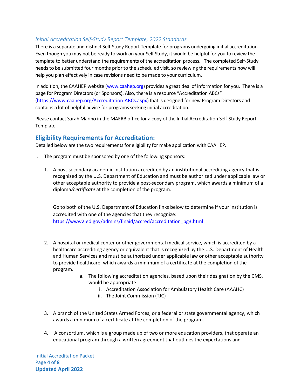#### *Initial Accreditation Self-Study Report Template, 2022 Standards*

There is a separate and distinct Self-Study Report Template for programs undergoing initial accreditation. Even though you may not be ready to work on your Self Study, it would be helpful for you to review the template to better understand the requirements of the accreditation process. The completed Self-Study needs to be submitted four months prior to the scheduled visit, so reviewing the requirements now will help you plan effectively in case revisions need to be made to your curriculum.

In addition, the CAAHEP website [\(www.caahep.org\)](http://www.caahep.org/) provides a great deal of information for you. There is a page for Program Directors (or Sponsors). Also, there is a resource "Accreditation ABCs" [\(https://www.caahep.org/Accreditation-ABCs.aspx\)](https://www.caahep.org/Accreditation-ABCs.aspx) that is designed for new Program Directors and contains a lot of helpful advice for programs seeking initial accreditation.

Please contact Sarah Marino in the MAERB office for a copy of the Initial Accreditation Self-Study Report Template.

#### **Eligibility Requirements for Accreditation:**

Detailed below are the two requirements for eligibility for make application with CAAHEP.

- I. The program must be sponsored by one of the following sponsors:
	- 1. A post-secondary academic institution accredited by an institutional accrediting agency that is recognized by the U.S. Department of Education and must be authorized under applicable law or other acceptable authority to provide a post-secondary program, which awards a minimum of a diploma*/certificate* at the completion of the program.

Go to both of the U.S. Department of Education links below to determine if your institution is accredited with one of the agencies that they recognize: [https://www2.ed.gov/admins/finaid/accred/accreditation\\_pg3.html](https://www2.ed.gov/admins/finaid/accred/accreditation_pg3.html)

- 2. A hospital or medical center or other governmental medical service, which is accredited by a healthcare accrediting agency or equivalent that is recognized by the U.S. Department of Health and Human Services and must be authorized under applicable law or other acceptable authority to provide healthcare, which awards a minimum of a certificate at the completion of the program.
	- a. The following accreditation agencies, based upon their designation by the CMS, would be appropriate:
		- i. Accreditation Association for Ambulatory Health Care (AAAHC)
		- ii. The Joint Commission (TJC)
- 3. A branch of the United States Armed Forces, or a federal or state governmental agency, which awards a minimum of a certificate at the completion of the program.
- 4. A consortium, which is a group made up of two or more education providers, that operate an educational program through a written agreement that outlines the expectations and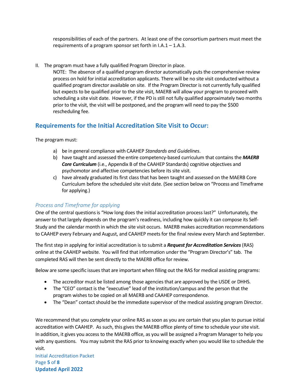responsibilities of each of the partners. At least one of the consortium partners must meet the requirements of a program sponsor set forth in I.A.1 – 1.A.3.

II. The program must have a fully qualified Program Director in place.

NOTE: The absence of a qualified program director automatically puts the comprehensive review process on hold for initial accreditation applicants. There will be no site visit conducted without a qualified program director available on site. If the Program Director is not currently fully qualified but expects to be qualified prior to the site visit, MAERB will allow your program to proceed with scheduling a site visit date. However, if the PD is still not fully qualified approximately two months prior to the visit, the visit will be postponed, and the program will need to pay the \$500 rescheduling fee.

#### **Requirements for the Initial Accreditation Site Visit to Occur:**

The program must:

- a) be in general compliance with CAAHEP *Standards and Guidelines*.
- b) have taught and assessed the entire competency-based curriculum that contains the *MAERB Core Curriculum* (i.e., Appendix B of the CAAHEP Standards) cognitive objectives and psychomotor and affective competencies before its site visit.
- c) have already graduated its first classthat has been taught and assessed on the MAERB Core Curriculum before the scheduled site visit date. (See section below on "Process and Timeframe for applying.)

#### *Process and Timeframe for applying*

One of the central questions is "How long does the initial accreditation process last?" Unfortunately, the answer to that largely depends on the program's readiness, including how quickly it can compose its Self-Study and the calendar month in which the site visit occurs. MAERB makes accreditation recommendations to CAAHEP every February and August, and CAAHEP meets for the final review every March and September.

The first step in applying for initial accreditation is to submit a *Request for Accreditation Services*(RAS) online at the CAAHEP website. You will find that information under the "Program Director's" tab. The completed RAS will then be sent directly to the MAERB office for review.

Below are some specific issues that are important when filling out the RAS for medical assisting programs:

- The accreditor must be listed among those agencies that are approved by the USDE or DHHS.
- The "CEO" contact is the "executive" lead of the institution/campus and the person that the program wishes to be copied on all MAERB and CAAHEP correspondence.
- The "Dean" contact should be the immediate supervisor of the medical assisting program Director.

We recommend that you complete your online RAS as soon as you are certain that you plan to pursue initial accreditation with CAAHEP. As such, this gives the MAERB office plenty of time to schedule your site visit. In addition, it gives you access to the MAERB office, as you will be assigned a Program Manager to help you with any questions. You may submit the RAS prior to knowing exactly when you would like to schedule the visit.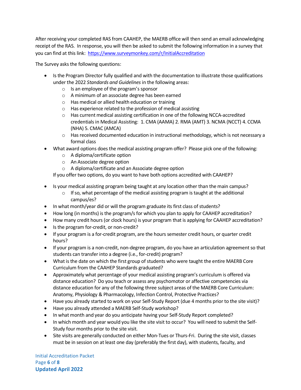After receiving your completed RAS from CAAHEP, the MAERB office will then send an email acknowledging receipt of the RAS. In response, you will then be asked to submit the following information in a survey that you can find at this link: <https://www.surveymonkey.com/r/InitialAccreditation>

The Survey asks the following questions:

- Is the Program Director fully qualified and with the documentation to illustrate those qualifications under the 2022 *Standards and Guidelines* in the following areas:
	- $\circ$  Is an employee of the program's sponsor
	- o A minimum of an associate degree has been earned
	- o Has medical or allied health education or training
	- o Has experience related to the profession of medical assisting
	- $\circ$  Has current medical assisting certification in one of the following NCCA-accredited credentials in Medical Assisting: 1. CMA (AAMA) 2. RMA (AMT) 3. NCMA (NCCT) 4. CCMA (NHA) 5. CMAC (AMCA)
	- $\circ$  Has received documented education in instructional methodology, which is not necessary a formal class
- What award options does the medical assisting program offer? Please pick one of the following:
	- o A diploma/certificate option
	- o An Associate degree option
	- o A diploma/certificate and an Associate degree option

If you offer two options, do you want to have both options accredited with CAAHEP?

- Is your medical assisting program being taught at any location other than the main campus?
	- $\circ$  If so, what percentage of the medical assisting program is taught at the additional campus/es?
- In what month/year did or will the program graduate its first class of students?
- How long (in months) is the program/s for which you plan to apply for CAAHEP accreditation?
- How many credit hours (or clock hours) is your program that is applying for CAAHEP accreditation?
- Is the program for-credit, or non-credit?
- If your program is a for-credit program, are the hours semester credit hours, or quarter credit hours?
- If your program is a non-credit, non-degree program, do you have an articulation agreement so that students can transfer into a degree (i.e., for-credit) program?
- What is the date on which the first group of students who were taught the entire MAERB Core Curriculum from the CAAHEP Standards graduated?
- Approximately what percentage of your medical assisting program's curriculum is offered via distance education? Do you teach or assess any psychomotor or affective competencies via distance education for any of the following three subject areas of the MAERB Core Curriculum: Anatomy, Physiology & Pharmacology, Infection Control, Protective Practices?
- Have you already started to work on your Self-Study Report (due 4 months prior to the site visit)?
- Have you already attended a MAERB Self-Study workshop?
- In what month and year do you anticipate having your Self-Study Report completed?
- In which month and year would you like the site visit to occur? You will need to submit the Self-Study four months prior to the site visit.
- Site visits are generally conducted on either Mon-Tues or Thurs-Fri. During the site visit, classes must be in session on at least one day (preferably the first day), with students, faculty, and

Initial Accreditation Packet Page **6** of **8 Updated April 2022**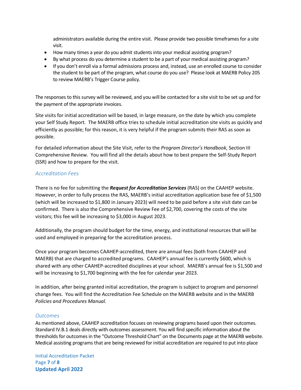administrators available during the entire visit. Please provide two possible timeframes for a site visit.

- How many times a year do you admit students into your medical assisting program?
- By what process do you determine a student to be a part of your medical assisting program?
- If you don't enroll via a formal admissions process and, instead, use an enrolled course to consider the student to be part of the program, what course do you use? Please look at MAERB Policy 205 to review MAERB's Trigger Course policy.

The responses to this survey will be reviewed, and you will be contacted for a site visit to be set up and for the payment of the appropriate invoices.

Site visits for initial accreditation will be based, in large measure, on the date by which you complete your Self Study Report. The MAERB office tries to schedule initial accreditation site visits as quickly and efficiently as possible; for this reason, it is very helpful if the program submits their RAS as soon as possible.

For detailed information about the Site Visit, refer to the *Program Director's Handbook*, Section III Comprehensive Review. You will find all the details about how to best prepare the Self-Study Report (SSR) and how to prepare for the visit.

#### *Accreditation Fees*

There is no fee for submitting the *Request for Accreditation Services* (RAS) on the CAAHEP website. However, in order to fully process the RAS, MAERB's initial accreditation application base fee of \$1,500 (which will be increased to \$1,800 in January 2023) will need to be paid before a site visit date can be confirmed. There is also the Comprehensive Review Fee of \$2,700, covering the costs of the site visitors; this fee will be increasing to \$3,000 in August 2023.

Additionally, the program should budget for the time, energy, and institutional resources that will be used and employed in preparing for the accreditation process.

Once your program becomes CAAHEP-accredited, there are annual fees (both from CAAHEP and MAERB) that are charged to accredited programs. CAAHEP's annual fee is currently \$600, which is shared with any other CAAHEP-accredited disciplines at your school. MAERB's annual fee is \$1,500 and will be increasing to \$1,700 beginning with the fee for calendar year 2023.

In addition, after being granted initial accreditation, the program is subject to program and personnel change fees. You will find the Accreditation Fee Schedule on the MAERB website and in the MAERB *Policies and Procedures Manual.* 

#### *Outcomes*

As mentioned above, CAAHEP accreditation focuses on reviewing programs based upon their outcomes. Standard IV.B.1 deals directly with outcomes assessment. You will find specific information about the thresholds for outcomes in the "Outcome Threshold Chart" on the Documents page at the MAERB website. Medical assisting programs that are being reviewed for initial accreditation are required to put into place

Initial Accreditation Packet Page **7** of **8 Updated April 2022**